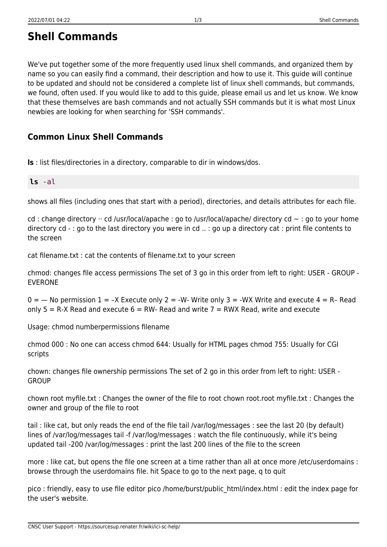We've put together some of the more frequently used linux shell commands, and organized them by name so you can easily find a command, their description and how to use it. This guide will continue to be updated and should not be considered a complete list of linux shell commands, but commands, we found, often used. If you would like to add to this guide, please email us and let us know. We know that these themselves are bash commands and not actually SSH commands but it is what most Linux newbies are looking for when searching for 'SSH commands'.

## **Common Linux Shell Commands**

**ls** : list files/directories in a directory, comparable to dir in windows/dos.

## **ls** -al

shows all files (including ones that start with a period), directories, and details attributes for each file.

cd : change directory  $\cdot \cdot$  cd /usr/local/apache : go to /usr/local/apache/ directory cd  $\sim$  : go to your home directory cd - : go to the last directory you were in cd .. : go up a directory cat : print file contents to the screen

cat filename.txt : cat the contents of filename.txt to your screen

chmod: changes file access permissions The set of 3 go in this order from left to right: USER - GROUP - EVERONE

 $0 =$   $-$  No permission 1 =  $-X$  Execute only 2 =  $-W$ - Write only 3 =  $-WX$  Write and execute 4 = R- Read only  $5 = R-X$  Read and execute  $6 = RW$ - Read and write  $7 = RWX$  Read, write and execute

Usage: chmod numberpermissions filename

chmod 000 : No one can access chmod 644: Usually for HTML pages chmod 755: Usually for CGI scripts

chown: changes file ownership permissions The set of 2 go in this order from left to right: USER - **GROUP** 

chown root myfile.txt : Changes the owner of the file to root chown root.root myfile.txt : Changes the owner and group of the file to root

tail : like cat, but only reads the end of the file tail /var/log/messages : see the last 20 (by default) lines of /var/log/messages tail -f /var/log/messages : watch the file continuously, while it's being updated tail -200 /var/log/messages : print the last 200 lines of the file to the screen

more : like cat, but opens the file one screen at a time rather than all at once more /etc/userdomains : browse through the userdomains file. hit Space to go to the next page, q to quit

pico : friendly, easy to use file editor pico /home/burst/public\_html/index.html : edit the index page for the user's website.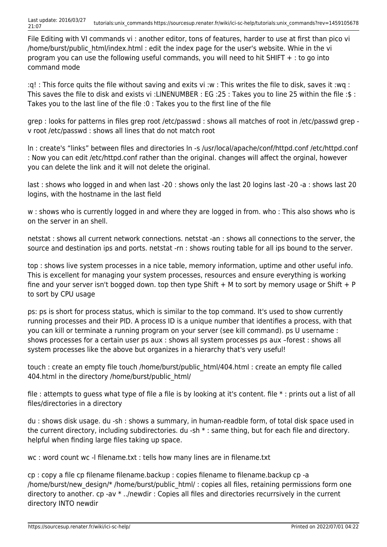File Editing with VI commands vi : another editor, tons of features, harder to use at first than pico vi /home/burst/public\_html/index.html : edit the index page for the user's website. Whie in the vi program you can use the following useful commands, you will need to hit SHIFT  $+$  : to go into command mode

:q! : This force quits the file without saving and exits vi :w : This writes the file to disk, saves it :wq : This saves the file to disk and exists vi :LINENUMBER : EG :25 : Takes you to line 25 within the file :\$ : Takes you to the last line of the file :0 : Takes you to the first line of the file

grep : looks for patterns in files grep root /etc/passwd : shows all matches of root in /etc/passwd grep v root /etc/passwd : shows all lines that do not match root

ln : create's "links" between files and directories ln -s /usr/local/apache/conf/httpd.conf /etc/httpd.conf : Now you can edit /etc/httpd.conf rather than the original. changes will affect the orginal, however you can delete the link and it will not delete the original.

last : shows who logged in and when last -20 : shows only the last 20 logins last -20 -a : shows last 20 logins, with the hostname in the last field

w : shows who is currently logged in and where they are logged in from. who : This also shows who is on the server in an shell.

netstat : shows all current network connections. netstat -an : shows all connections to the server, the source and destination ips and ports. netstat -rn : shows routing table for all ips bound to the server.

top : shows live system processes in a nice table, memory information, uptime and other useful info. This is excellent for managing your system processes, resources and ensure everything is working fine and your server isn't bogged down. top then type Shift  $+$  M to sort by memory usage or Shift  $+$  P to sort by CPU usage

ps: ps is short for process status, which is similar to the top command. It's used to show currently running processes and their PID. A process ID is a unique number that identifies a process, with that you can kill or terminate a running program on your server (see kill command). ps U username : shows processes for a certain user ps aux : shows all system processes ps aux –forest : shows all system processes like the above but organizes in a hierarchy that's very useful!

touch : create an empty file touch /home/burst/public\_html/404.html : create an empty file called 404.html in the directory /home/burst/public\_html/

file : attempts to guess what type of file a file is by looking at it's content. file \* : prints out a list of all files/directories in a directory

du : shows disk usage. du -sh : shows a summary, in human-readble form, of total disk space used in the current directory, including subdirectories. du -sh \* : same thing, but for each file and directory. helpful when finding large files taking up space.

wc : word count wc -l filename.txt : tells how many lines are in filename.txt

cp : copy a file cp filename filename.backup : copies filename to filename.backup cp -a /home/burst/new\_design/\* /home/burst/public\_html/ : copies all files, retaining permissions form one directory to another. cp -av \* ../newdir : Copies all files and directories recurrsively in the current directory INTO newdir